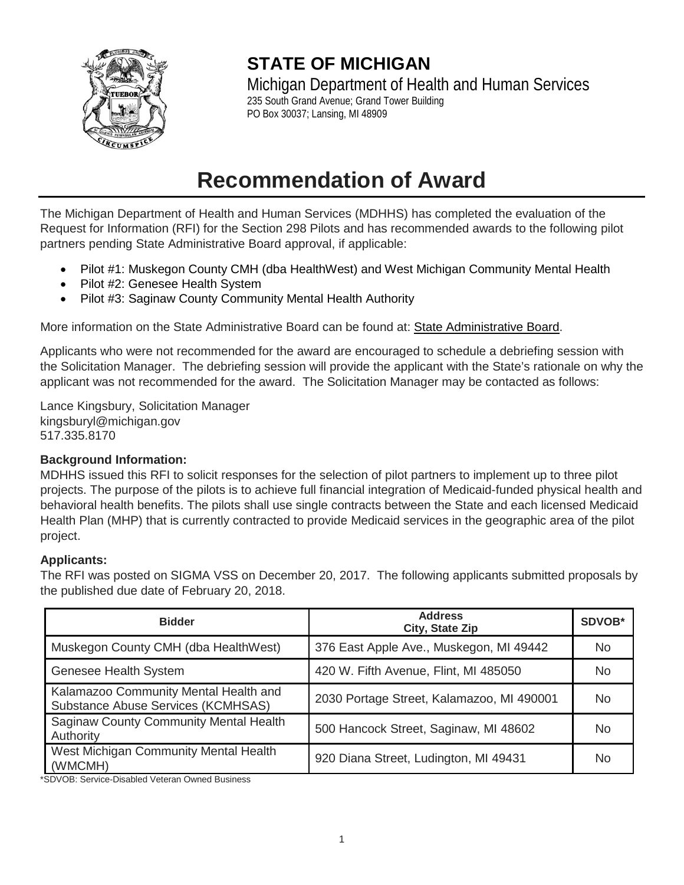

# **STATE OF MICHIGAN**

Michigan Department of Health and Human Services 235 South Grand Avenue; Grand Tower Building PO Box 30037; Lansing, MI 48909

# **Recommendation of Award**

The Michigan Department of Health and Human Services (MDHHS) has completed the evaluation of the Request for Information (RFI) for the Section 298 Pilots and has recommended awards to the following pilot partners pending State Administrative Board approval, if applicable:

- Pilot #1: Muskegon County CMH (dba HealthWest) and West Michigan Community Mental Health
- Pilot #2: Genesee Health System
- Pilot #3: Saginaw County Community Mental Health Authority

More information on the State Administrative Board can be found at: [State Administrative Board.](http://www.michigan.gov/micontractconnect/0,4541,7-225-48756---,00.html)

Applicants who were not recommended for the award are encouraged to schedule a debriefing session with the Solicitation Manager. The debriefing session will provide the applicant with the State's rationale on why the applicant was not recommended for the award. The Solicitation Manager may be contacted as follows:

Lance Kingsbury, Solicitation Manager kingsburyl@michigan.gov 517.335.8170

# **Background Information:**

MDHHS issued this RFI to solicit responses for the selection of pilot partners to implement up to three pilot projects. The purpose of the pilots is to achieve full financial integration of Medicaid-funded physical health and behavioral health benefits. The pilots shall use single contracts between the State and each licensed Medicaid Health Plan (MHP) that is currently contracted to provide Medicaid services in the geographic area of the pilot project.

# **Applicants:**

The RFI was posted on SIGMA VSS on December 20, 2017. The following applicants submitted proposals by the published due date of February 20, 2018.

| <b>Bidder</b>                                                                      | <b>Address</b><br>City, State Zip         | SDVOB* |
|------------------------------------------------------------------------------------|-------------------------------------------|--------|
| Muskegon County CMH (dba HealthWest)                                               | 376 East Apple Ave., Muskegon, MI 49442   |        |
| Genesee Health System                                                              | 420 W. Fifth Avenue, Flint, MI 485050     | No.    |
| Kalamazoo Community Mental Health and<br><b>Substance Abuse Services (KCMHSAS)</b> | 2030 Portage Street, Kalamazoo, MI 490001 | No.    |
| <b>Saginaw County Community Mental Health</b><br>Authority                         | 500 Hancock Street, Saginaw, MI 48602     | No.    |
| West Michigan Community Mental Health<br>(WMCMH)                                   | 920 Diana Street, Ludington, MI 49431     | No     |

\*SDVOB: Service-Disabled Veteran Owned Business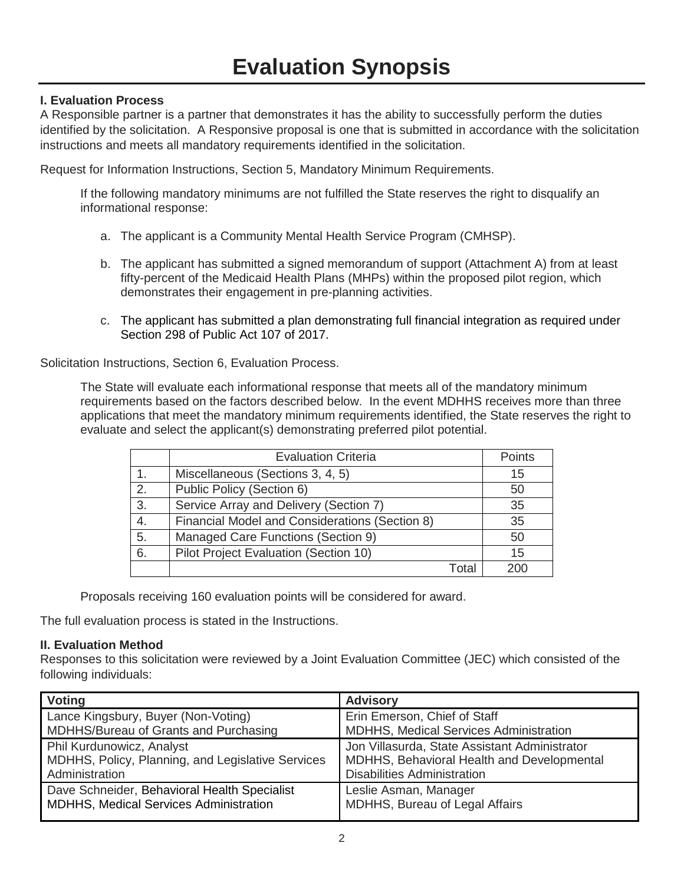#### **I. Evaluation Process**

A Responsible partner is a partner that demonstrates it has the ability to successfully perform the duties identified by the solicitation. A Responsive proposal is one that is submitted in accordance with the solicitation instructions and meets all mandatory requirements identified in the solicitation.

Request for Information Instructions, Section 5, Mandatory Minimum Requirements.

If the following mandatory minimums are not fulfilled the State reserves the right to disqualify an informational response:

- a. The applicant is a Community Mental Health Service Program (CMHSP).
- b. The applicant has submitted a signed memorandum of support (Attachment A) from at least fifty-percent of the Medicaid Health Plans (MHPs) within the proposed pilot region, which demonstrates their engagement in pre-planning activities.
- c. The applicant has submitted a plan demonstrating full financial integration as required under Section 298 of Public Act 107 of 2017.

Solicitation Instructions, Section 6, Evaluation Process.

The State will evaluate each informational response that meets all of the mandatory minimum requirements based on the factors described below. In the event MDHHS receives more than three applications that meet the mandatory minimum requirements identified, the State reserves the right to evaluate and select the applicant(s) demonstrating preferred pilot potential.

|    | <b>Evaluation Criteria</b>                     | Points |
|----|------------------------------------------------|--------|
| 1. | Miscellaneous (Sections 3, 4, 5)               | 15     |
| 2. | Public Policy (Section 6)                      | 50     |
| 3. | Service Array and Delivery (Section 7)         | 35     |
| 4. | Financial Model and Considerations (Section 8) | 35     |
| 5. | Managed Care Functions (Section 9)             | 50     |
| 6. | Pilot Project Evaluation (Section 10)          | 15     |
|    | Total                                          | 200    |

Proposals receiving 160 evaluation points will be considered for award.

The full evaluation process is stated in the Instructions.

#### **II. Evaluation Method**

Responses to this solicitation were reviewed by a Joint Evaluation Committee (JEC) which consisted of the following individuals:

| <b>Voting</b>                                     | <b>Advisory</b>                               |
|---------------------------------------------------|-----------------------------------------------|
| Lance Kingsbury, Buyer (Non-Voting)               | Erin Emerson, Chief of Staff                  |
| MDHHS/Bureau of Grants and Purchasing             | MDHHS, Medical Services Administration        |
| Phil Kurdunowicz, Analyst                         | Jon Villasurda, State Assistant Administrator |
| MDHHS, Policy, Planning, and Legislative Services | MDHHS, Behavioral Health and Developmental    |
| Administration                                    | <b>Disabilities Administration</b>            |
| Dave Schneider, Behavioral Health Specialist      | Leslie Asman, Manager                         |
| MDHHS, Medical Services Administration            | MDHHS, Bureau of Legal Affairs                |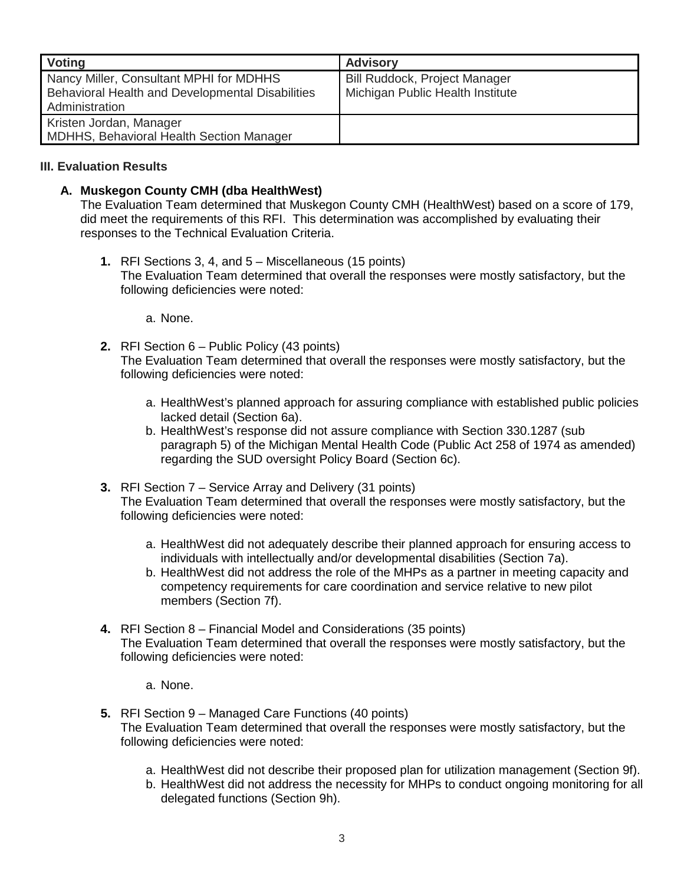| Voting                                                                                                               | <b>Advisory</b>                                                   |
|----------------------------------------------------------------------------------------------------------------------|-------------------------------------------------------------------|
| Nancy Miller, Consultant MPHI for MDHHS<br><b>Behavioral Health and Developmental Disabilities</b><br>Administration | Bill Ruddock, Project Manager<br>Michigan Public Health Institute |
| Kristen Jordan, Manager<br><b>MDHHS, Behavioral Health Section Manager</b>                                           |                                                                   |

#### **III. Evaluation Results**

### **A. Muskegon County CMH (dba HealthWest)**

The Evaluation Team determined that Muskegon County CMH (HealthWest) based on a score of 179, did meet the requirements of this RFI. This determination was accomplished by evaluating their responses to the Technical Evaluation Criteria.

**1.** RFI Sections 3, 4, and 5 – Miscellaneous (15 points) The Evaluation Team determined that overall the responses were mostly satisfactory, but the following deficiencies were noted:

a. None.

- **2.** RFI Section 6 Public Policy (43 points) The Evaluation Team determined that overall the responses were mostly satisfactory, but the following deficiencies were noted:
	- a. HealthWest's planned approach for assuring compliance with established public policies lacked detail (Section 6a).
	- b. HealthWest's response did not assure compliance with Section 330.1287 (sub paragraph 5) of the Michigan Mental Health Code (Public Act 258 of 1974 as amended) regarding the SUD oversight Policy Board (Section 6c).
- **3.** RFI Section 7 Service Array and Delivery (31 points) The Evaluation Team determined that overall the responses were mostly satisfactory, but the following deficiencies were noted:
	- a. HealthWest did not adequately describe their planned approach for ensuring access to individuals with intellectually and/or developmental disabilities (Section 7a).
	- b. HealthWest did not address the role of the MHPs as a partner in meeting capacity and competency requirements for care coordination and service relative to new pilot members (Section 7f).
- **4.** RFI Section 8 Financial Model and Considerations (35 points) The Evaluation Team determined that overall the responses were mostly satisfactory, but the following deficiencies were noted:
	- a. None.
- **5.** RFI Section 9 Managed Care Functions (40 points) The Evaluation Team determined that overall the responses were mostly satisfactory, but the following deficiencies were noted:
	- a. HealthWest did not describe their proposed plan for utilization management (Section 9f).
	- b. HealthWest did not address the necessity for MHPs to conduct ongoing monitoring for all delegated functions (Section 9h).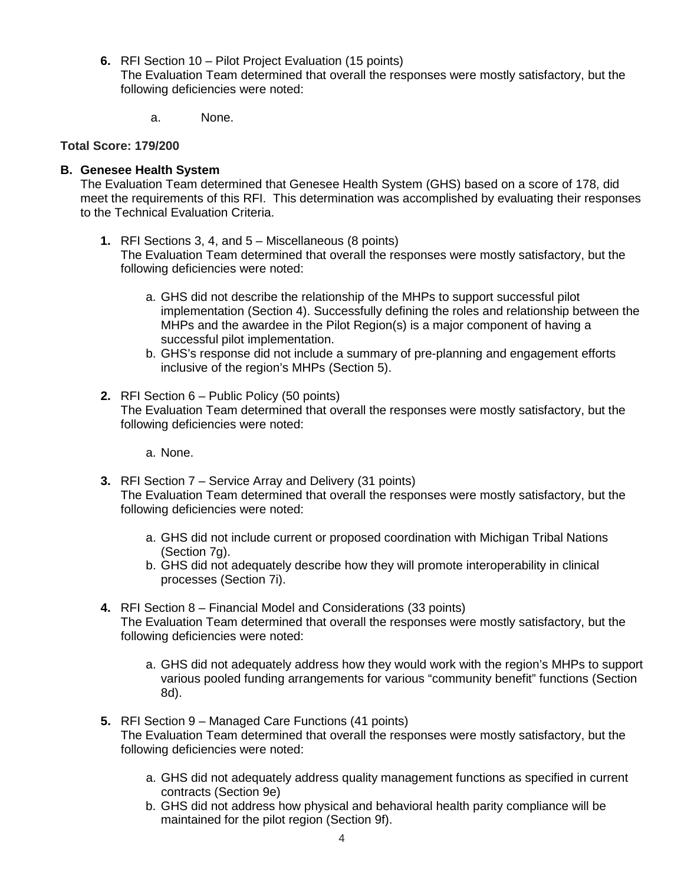**6.** RFI Section 10 – Pilot Project Evaluation (15 points)

The Evaluation Team determined that overall the responses were mostly satisfactory, but the following deficiencies were noted:

a. None.

#### **Total Score: 179/200**

#### **B. Genesee Health System**

The Evaluation Team determined that Genesee Health System (GHS) based on a score of 178, did meet the requirements of this RFI. This determination was accomplished by evaluating their responses to the Technical Evaluation Criteria.

**1.** RFI Sections 3, 4, and 5 – Miscellaneous (8 points)

The Evaluation Team determined that overall the responses were mostly satisfactory, but the following deficiencies were noted:

- a. GHS did not describe the relationship of the MHPs to support successful pilot implementation (Section 4). Successfully defining the roles and relationship between the MHPs and the awardee in the Pilot Region(s) is a major component of having a successful pilot implementation.
- b. GHS's response did not include a summary of pre-planning and engagement efforts inclusive of the region's MHPs (Section 5).
- **2.** RFI Section 6 Public Policy (50 points) The Evaluation Team determined that overall the responses were mostly satisfactory, but the following deficiencies were noted:
	- a. None.
- **3.** RFI Section 7 Service Array and Delivery (31 points) The Evaluation Team determined that overall the responses were mostly satisfactory, but the following deficiencies were noted:
	- a. GHS did not include current or proposed coordination with Michigan Tribal Nations (Section 7g).
	- b. GHS did not adequately describe how they will promote interoperability in clinical processes (Section 7i).
- **4.** RFI Section 8 Financial Model and Considerations (33 points)

The Evaluation Team determined that overall the responses were mostly satisfactory, but the following deficiencies were noted:

- a. GHS did not adequately address how they would work with the region's MHPs to support various pooled funding arrangements for various "community benefit" functions (Section 8d).
- **5.** RFI Section 9 Managed Care Functions (41 points) The Evaluation Team determined that overall the responses were mostly satisfactory, but the following deficiencies were noted:
	- a. GHS did not adequately address quality management functions as specified in current contracts (Section 9e)
	- b. GHS did not address how physical and behavioral health parity compliance will be maintained for the pilot region (Section 9f).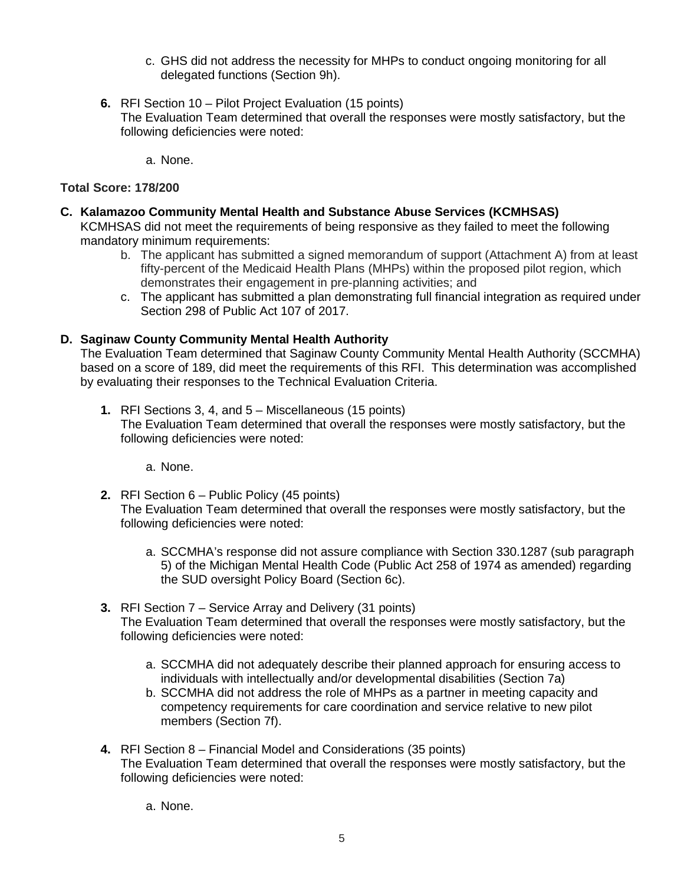- c. GHS did not address the necessity for MHPs to conduct ongoing monitoring for all delegated functions (Section 9h).
- **6.** RFI Section 10 Pilot Project Evaluation (15 points) The Evaluation Team determined that overall the responses were mostly satisfactory, but the following deficiencies were noted:

a. None.

#### **Total Score: 178/200**

- **C. Kalamazoo Community Mental Health and Substance Abuse Services (KCMHSAS)** KCMHSAS did not meet the requirements of being responsive as they failed to meet the following mandatory minimum requirements:
	- b. The applicant has submitted a signed memorandum of support (Attachment A) from at least fifty-percent of the Medicaid Health Plans (MHPs) within the proposed pilot region, which demonstrates their engagement in pre-planning activities; and
	- c. The applicant has submitted a plan demonstrating full financial integration as required under Section 298 of Public Act 107 of 2017.

#### **D. Saginaw County Community Mental Health Authority**

The Evaluation Team determined that Saginaw County Community Mental Health Authority (SCCMHA) based on a score of 189, did meet the requirements of this RFI. This determination was accomplished by evaluating their responses to the Technical Evaluation Criteria.

**1.** RFI Sections 3, 4, and 5 – Miscellaneous (15 points) The Evaluation Team determined that overall the responses were mostly satisfactory, but the following deficiencies were noted:

a. None.

- **2.** RFI Section 6 Public Policy (45 points) The Evaluation Team determined that overall the responses were mostly satisfactory, but the following deficiencies were noted:
	- a. SCCMHA's response did not assure compliance with Section 330.1287 (sub paragraph 5) of the Michigan Mental Health Code (Public Act 258 of 1974 as amended) regarding the SUD oversight Policy Board (Section 6c).
- **3.** RFI Section 7 Service Array and Delivery (31 points) The Evaluation Team determined that overall the responses were mostly satisfactory, but the following deficiencies were noted:
	- a. SCCMHA did not adequately describe their planned approach for ensuring access to individuals with intellectually and/or developmental disabilities (Section 7a)
	- b. SCCMHA did not address the role of MHPs as a partner in meeting capacity and competency requirements for care coordination and service relative to new pilot members (Section 7f).
- **4.** RFI Section 8 Financial Model and Considerations (35 points) The Evaluation Team determined that overall the responses were mostly satisfactory, but the following deficiencies were noted:
	- a. None.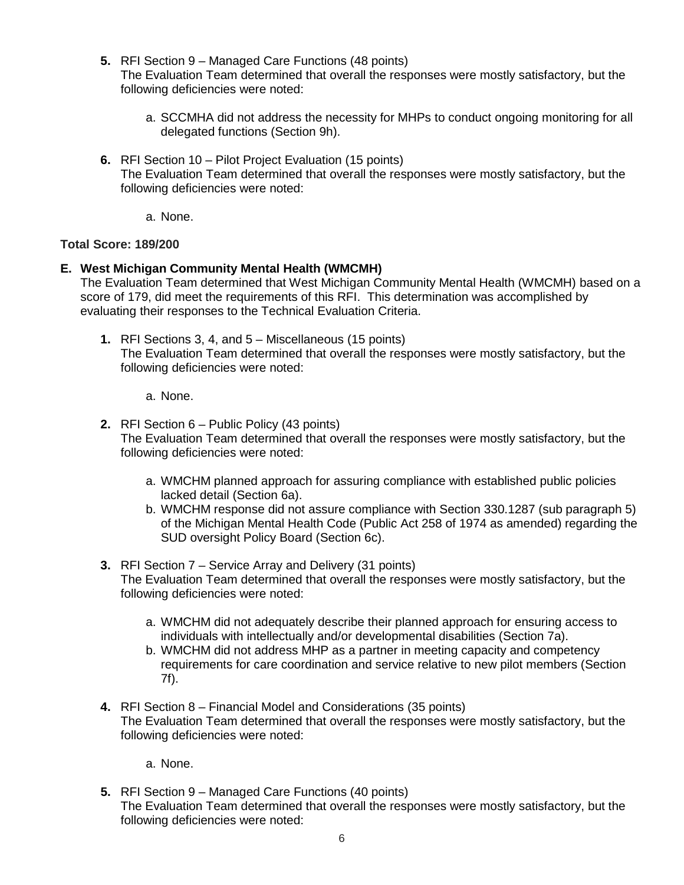**5.** RFI Section 9 – Managed Care Functions (48 points)

The Evaluation Team determined that overall the responses were mostly satisfactory, but the following deficiencies were noted:

- a. SCCMHA did not address the necessity for MHPs to conduct ongoing monitoring for all delegated functions (Section 9h).
- **6.** RFI Section 10 Pilot Project Evaluation (15 points) The Evaluation Team determined that overall the responses were mostly satisfactory, but the following deficiencies were noted:
	- a. None.

#### **Total Score: 189/200**

#### **E. West Michigan Community Mental Health (WMCMH)**

The Evaluation Team determined that West Michigan Community Mental Health (WMCMH) based on a score of 179, did meet the requirements of this RFI. This determination was accomplished by evaluating their responses to the Technical Evaluation Criteria.

- **1.** RFI Sections 3, 4, and 5 Miscellaneous (15 points) The Evaluation Team determined that overall the responses were mostly satisfactory, but the following deficiencies were noted:
	- a. None.
- **2.** RFI Section 6 Public Policy (43 points) The Evaluation Team determined that overall the responses were mostly satisfactory, but the following deficiencies were noted:
	- a. WMCHM planned approach for assuring compliance with established public policies lacked detail (Section 6a).
	- b. WMCHM response did not assure compliance with Section 330.1287 (sub paragraph 5) of the Michigan Mental Health Code (Public Act 258 of 1974 as amended) regarding the SUD oversight Policy Board (Section 6c).
- **3.** RFI Section 7 Service Array and Delivery (31 points) The Evaluation Team determined that overall the responses were mostly satisfactory, but the following deficiencies were noted:
	- a. WMCHM did not adequately describe their planned approach for ensuring access to individuals with intellectually and/or developmental disabilities (Section 7a).
	- b. WMCHM did not address MHP as a partner in meeting capacity and competency requirements for care coordination and service relative to new pilot members (Section 7f).
- **4.** RFI Section 8 Financial Model and Considerations (35 points) The Evaluation Team determined that overall the responses were mostly satisfactory, but the following deficiencies were noted:

a. None.

**5.** RFI Section 9 – Managed Care Functions (40 points) The Evaluation Team determined that overall the responses were mostly satisfactory, but the following deficiencies were noted: